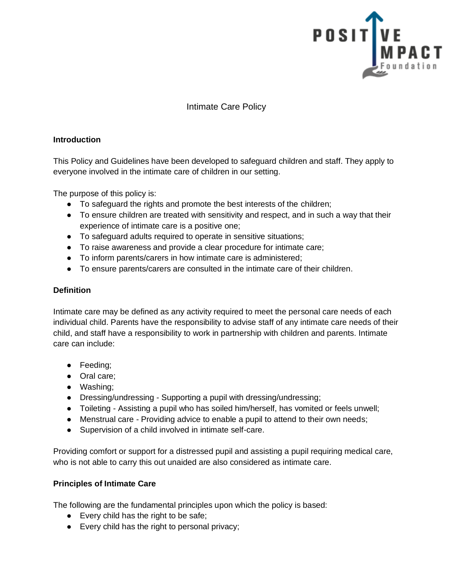

Intimate Care Policy

#### **Introduction**

This Policy and Guidelines have been developed to safeguard children and staff. They apply to everyone involved in the intimate care of children in our setting.

The purpose of this policy is:

- To safeguard the rights and promote the best interests of the children;
- To ensure children are treated with sensitivity and respect, and in such a way that their experience of intimate care is a positive one;
- To safeguard adults required to operate in sensitive situations;
- To raise awareness and provide a clear procedure for intimate care;
- To inform parents/carers in how intimate care is administered;
- To ensure parents/carers are consulted in the intimate care of their children.

## **Definition**

Intimate care may be defined as any activity required to meet the personal care needs of each individual child. Parents have the responsibility to advise staff of any intimate care needs of their child, and staff have a responsibility to work in partnership with children and parents. Intimate care can include:

- Feeding;
- Oral care:
- Washing;
- Dressing/undressing Supporting a pupil with dressing/undressing;
- Toileting Assisting a pupil who has soiled him/herself, has vomited or feels unwell;
- Menstrual care Providing advice to enable a pupil to attend to their own needs;
- Supervision of a child involved in intimate self-care.

Providing comfort or support for a distressed pupil and assisting a pupil requiring medical care, who is not able to carry this out unaided are also considered as intimate care.

## **Principles of Intimate Care**

The following are the fundamental principles upon which the policy is based:

- Every child has the right to be safe;
- Every child has the right to personal privacy;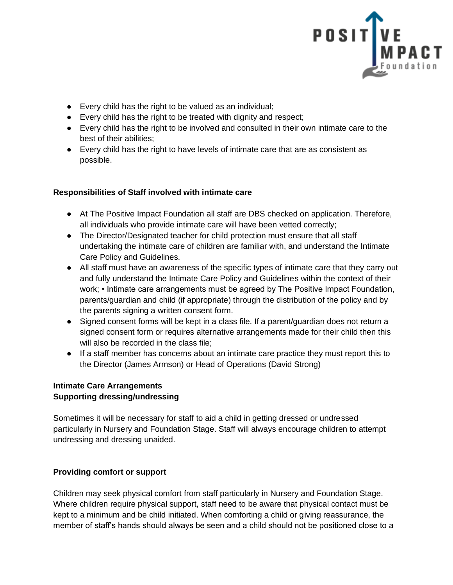

- Every child has the right to be valued as an individual;
- Every child has the right to be treated with dignity and respect;
- Every child has the right to be involved and consulted in their own intimate care to the best of their abilities;
- Every child has the right to have levels of intimate care that are as consistent as possible.

# **Responsibilities of Staff involved with intimate care**

- At The Positive Impact Foundation all staff are DBS checked on application. Therefore, all individuals who provide intimate care will have been vetted correctly;
- The Director/Designated teacher for child protection must ensure that all staff undertaking the intimate care of children are familiar with, and understand the Intimate Care Policy and Guidelines.
- All staff must have an awareness of the specific types of intimate care that they carry out and fully understand the Intimate Care Policy and Guidelines within the context of their work; • Intimate care arrangements must be agreed by The Positive Impact Foundation, parents/guardian and child (if appropriate) through the distribution of the policy and by the parents signing a written consent form.
- Signed consent forms will be kept in a class file. If a parent/guardian does not return a signed consent form or requires alternative arrangements made for their child then this will also be recorded in the class file;
- If a staff member has concerns about an intimate care practice they must report this to the Director (James Armson) or Head of Operations (David Strong)

## **Intimate Care Arrangements Supporting dressing/undressing**

Sometimes it will be necessary for staff to aid a child in getting dressed or undressed particularly in Nursery and Foundation Stage. Staff will always encourage children to attempt undressing and dressing unaided.

## **Providing comfort or support**

Children may seek physical comfort from staff particularly in Nursery and Foundation Stage. Where children require physical support, staff need to be aware that physical contact must be kept to a minimum and be child initiated. When comforting a child or giving reassurance, the member of staff's hands should always be seen and a child should not be positioned close to a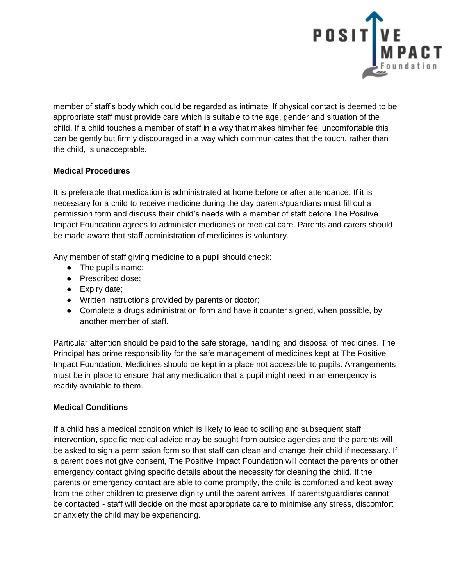

member of staff's body which could be regarded as intimate. If physical contact is deemed to be appropriate staff must provide care which is suitable to the age, gender and situation of the child. If a child touches a member of staff in a way that makes him/her feel uncomfortable this can be gently but firmly discouraged in a way which communicates that the touch, rather than the child, is unacceptable.

## **Medical Procedures**

It is preferable that medication is administrated at home before or after attendance. If it is necessary for a child to receive medicine during the day parents/guardians must fill out a permission form and discuss their child's needs with a member of staff before The Positive Impact Foundation agrees to administer medicines or medical care. Parents and carers should be made aware that staff administration of medicines is voluntary.

Any member of staff giving medicine to a pupil should check:

- The pupil's name;
- Prescribed dose;
- Expiry date;
- Written instructions provided by parents or doctor;
- Complete a drugs administration form and have it counter signed, when possible, by another member of staff.

Particular attention should be paid to the safe storage, handling and disposal of medicines. The Principal has prime responsibility for the safe management of medicines kept at The Positive Impact Foundation. Medicines should be kept in a place not accessible to pupils. Arrangements must be in place to ensure that any medication that a pupil might need in an emergency is readily available to them.

## **Medical Conditions**

If a child has a medical condition which is likely to lead to soiling and subsequent staff intervention, specific medical advice may be sought from outside agencies and the parents will be asked to sign a permission form so that staff can clean and change their child if necessary. If a parent does not give consent, The Positive Impact Foundation will contact the parents or other emergency contact giving specific details about the necessity for cleaning the child. If the parents or emergency contact are able to come promptly, the child is comforted and kept away from the other children to preserve dignity until the parent arrives. If parents/guardians cannot be contacted - staff will decide on the most appropriate care to minimise any stress, discomfort or anxiety the child may be experiencing.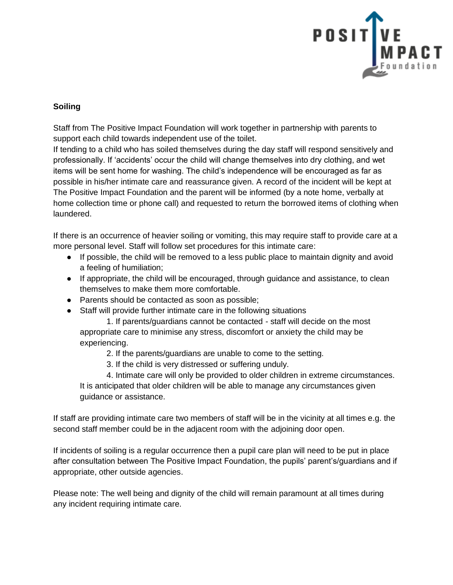

#### **Soiling**

Staff from The Positive Impact Foundation will work together in partnership with parents to support each child towards independent use of the toilet.

If tending to a child who has soiled themselves during the day staff will respond sensitively and professionally. If 'accidents' occur the child will change themselves into dry clothing, and wet items will be sent home for washing. The child's independence will be encouraged as far as possible in his/her intimate care and reassurance given. A record of the incident will be kept at The Positive Impact Foundation and the parent will be informed (by a note home, verbally at home collection time or phone call) and requested to return the borrowed items of clothing when laundered.

If there is an occurrence of heavier soiling or vomiting, this may require staff to provide care at a more personal level. Staff will follow set procedures for this intimate care:

- If possible, the child will be removed to a less public place to maintain dignity and avoid a feeling of humiliation;
- If appropriate, the child will be encouraged, through guidance and assistance, to clean themselves to make them more comfortable.
- Parents should be contacted as soon as possible;
- Staff will provide further intimate care in the following situations

1. If parents/guardians cannot be contacted - staff will decide on the most appropriate care to minimise any stress, discomfort or anxiety the child may be experiencing.

- 2. If the parents/guardians are unable to come to the setting.
- 3. If the child is very distressed or suffering unduly.

4. Intimate care will only be provided to older children in extreme circumstances. It is anticipated that older children will be able to manage any circumstances given guidance or assistance.

If staff are providing intimate care two members of staff will be in the vicinity at all times e.g. the second staff member could be in the adjacent room with the adjoining door open.

If incidents of soiling is a regular occurrence then a pupil care plan will need to be put in place after consultation between The Positive Impact Foundation, the pupils' parent's/guardians and if appropriate, other outside agencies.

Please note: The well being and dignity of the child will remain paramount at all times during any incident requiring intimate care.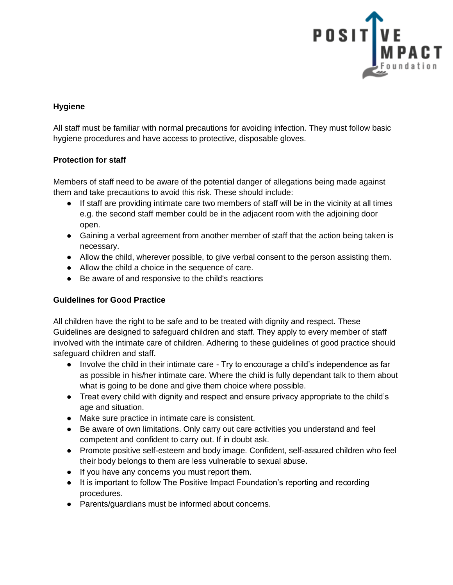

#### **Hygiene**

All staff must be familiar with normal precautions for avoiding infection. They must follow basic hygiene procedures and have access to protective, disposable gloves.

#### **Protection for staff**

Members of staff need to be aware of the potential danger of allegations being made against them and take precautions to avoid this risk. These should include:

- If staff are providing intimate care two members of staff will be in the vicinity at all times e.g. the second staff member could be in the adjacent room with the adjoining door open.
- Gaining a verbal agreement from another member of staff that the action being taken is necessary.
- Allow the child, wherever possible, to give verbal consent to the person assisting them.
- Allow the child a choice in the sequence of care.
- Be aware of and responsive to the child's reactions

#### **Guidelines for Good Practice**

All children have the right to be safe and to be treated with dignity and respect. These Guidelines are designed to safeguard children and staff. They apply to every member of staff involved with the intimate care of children. Adhering to these guidelines of good practice should safeguard children and staff.

- Involve the child in their intimate care Try to encourage a child's independence as far as possible in his/her intimate care. Where the child is fully dependant talk to them about what is going to be done and give them choice where possible.
- Treat every child with dignity and respect and ensure privacy appropriate to the child's age and situation.
- Make sure practice in intimate care is consistent.
- Be aware of own limitations. Only carry out care activities you understand and feel competent and confident to carry out. If in doubt ask.
- Promote positive self-esteem and body image. Confident, self-assured children who feel their body belongs to them are less vulnerable to sexual abuse.
- If you have any concerns you must report them.
- It is important to follow The Positive Impact Foundation's reporting and recording procedures.
- Parents/guardians must be informed about concerns.